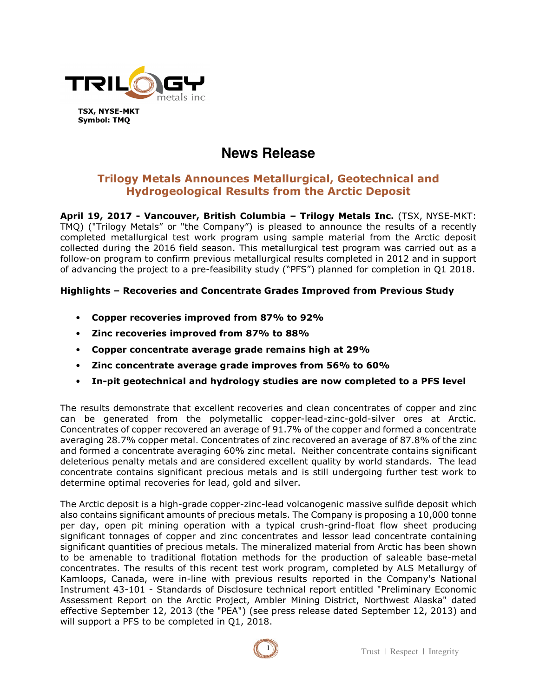

# **News Release**

## **Trilogy Metals Announces Metallurgical, Geotechnical and Hydrogeological Results from the Arctic Deposit**

**April 19, 2017 - Vancouver, British Columbia – Trilogy Metals Inc.** (TSX, NYSE-MKT: TMQ) ("Trilogy Metals" or "the Company") is pleased to announce the results of a recently completed metallurgical test work program using sample material from the Arctic deposit collected during the 2016 field season. This metallurgical test program was carried out as a follow-on program to confirm previous metallurgical results completed in 2012 and in support of advancing the project to a pre-feasibility study ("PFS") planned for completion in Q1 2018.

## **Highlights – Recoveries and Concentrate Grades Improved from Previous Study**

- **Copper recoveries improved from 87% to 92%**
- **Zinc recoveries improved from 87% to 88%**
- **Copper concentrate average grade remains high at 29%**
- **Zinc concentrate average grade improves from 56% to 60%**
- **In-pit geotechnical and hydrology studies are now completed to a PFS level**

The results demonstrate that excellent recoveries and clean concentrates of copper and zinc can be generated from the polymetallic copper-lead-zinc-gold-silver ores at Arctic. Concentrates of copper recovered an average of 91.7% of the copper and formed a concentrate averaging 28.7% copper metal. Concentrates of zinc recovered an average of 87.8% of the zinc and formed a concentrate averaging 60% zinc metal. Neither concentrate contains significant deleterious penalty metals and are considered excellent quality by world standards. The lead concentrate contains significant precious metals and is still undergoing further test work to determine optimal recoveries for lead, gold and silver.

The Arctic deposit is a high-grade copper-zinc-lead volcanogenic massive sulfide deposit which also contains significant amounts of precious metals. The Company is proposing a 10,000 tonne per day, open pit mining operation with a typical crush-grind-float flow sheet producing significant tonnages of copper and zinc concentrates and lessor lead concentrate containing significant quantities of precious metals. The mineralized material from Arctic has been shown to be amenable to traditional flotation methods for the production of saleable base-metal concentrates. The results of this recent test work program, completed by ALS Metallurgy of Kamloops, Canada, were in-line with previous results reported in the Company's National Instrument 43-101 - Standards of Disclosure technical report entitled "Preliminary Economic Assessment Report on the Arctic Project, Ambler Mining District, Northwest Alaska" dated effective September 12, 2013 (the "PEA") (see press release dated September 12, 2013) and will support a PFS to be completed in Q1, 2018.

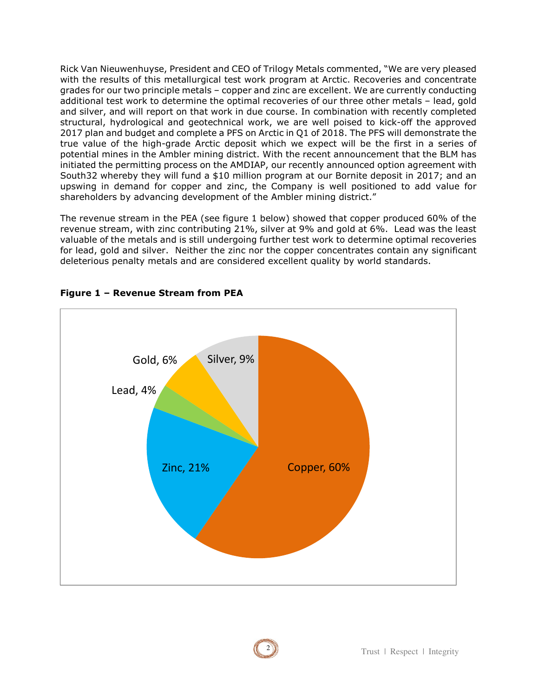Rick Van Nieuwenhuyse, President and CEO of Trilogy Metals commented, "We are very pleased with the results of this metallurgical test work program at Arctic. Recoveries and concentrate grades for our two principle metals – copper and zinc are excellent. We are currently conducting additional test work to determine the optimal recoveries of our three other metals – lead, gold and silver, and will report on that work in due course. In combination with recently completed structural, hydrological and geotechnical work, we are well poised to kick-off the approved 2017 plan and budget and complete a PFS on Arctic in Q1 of 2018. The PFS will demonstrate the true value of the high-grade Arctic deposit which we expect will be the first in a series of potential mines in the Ambler mining district. With the recent announcement that the BLM has initiated the permitting process on the AMDIAP, our recently announced option agreement with South32 whereby they will fund a \$10 million program at our Bornite deposit in 2017; and an upswing in demand for copper and zinc, the Company is well positioned to add value for shareholders by advancing development of the Ambler mining district."

The revenue stream in the PEA (see figure 1 below) showed that copper produced 60% of the revenue stream, with zinc contributing 21%, silver at 9% and gold at 6%. Lead was the least valuable of the metals and is still undergoing further test work to determine optimal recoveries for lead, gold and silver. Neither the zinc nor the copper concentrates contain any significant deleterious penalty metals and are considered excellent quality by world standards.



## **Figure 1 – Revenue Stream from PEA**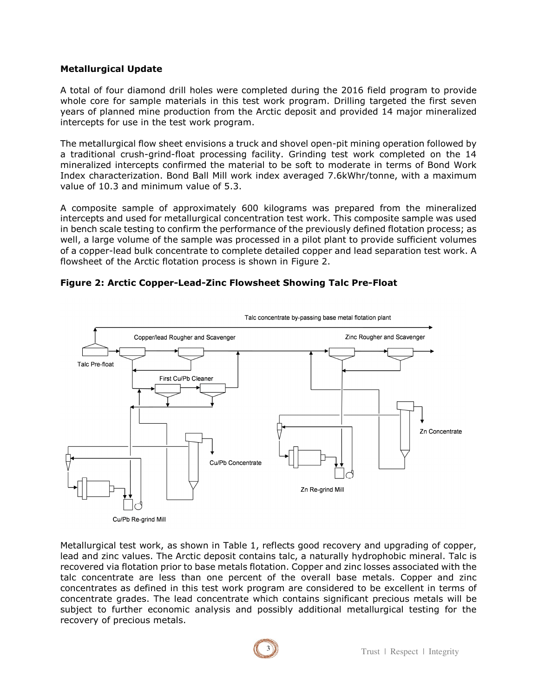## **Metallurgical Update**

A total of four diamond drill holes were completed during the 2016 field program to provide whole core for sample materials in this test work program. Drilling targeted the first seven years of planned mine production from the Arctic deposit and provided 14 major mineralized intercepts for use in the test work program.

The metallurgical flow sheet envisions a truck and shovel open-pit mining operation followed by a traditional crush-grind-float processing facility. Grinding test work completed on the 14 mineralized intercepts confirmed the material to be soft to moderate in terms of Bond Work Index characterization. Bond Ball Mill work index averaged 7.6kWhr/tonne, with a maximum value of 10.3 and minimum value of 5.3.

A composite sample of approximately 600 kilograms was prepared from the mineralized intercepts and used for metallurgical concentration test work. This composite sample was used in bench scale testing to confirm the performance of the previously defined flotation process; as well, a large volume of the sample was processed in a pilot plant to provide sufficient volumes of a copper-lead bulk concentrate to complete detailed copper and lead separation test work. A flowsheet of the Arctic flotation process is shown in Figure 2.

## **Figure 2: Arctic Copper-Lead-Zinc Flowsheet Showing Talc Pre-Float**



Metallurgical test work, as shown in Table 1, reflects good recovery and upgrading of copper, lead and zinc values. The Arctic deposit contains talc, a naturally hydrophobic mineral. Talc is recovered via flotation prior to base metals flotation. Copper and zinc losses associated with the talc concentrate are less than one percent of the overall base metals. Copper and zinc concentrates as defined in this test work program are considered to be excellent in terms of concentrate grades. The lead concentrate which contains significant precious metals will be subject to further economic analysis and possibly additional metallurgical testing for the recovery of precious metals.

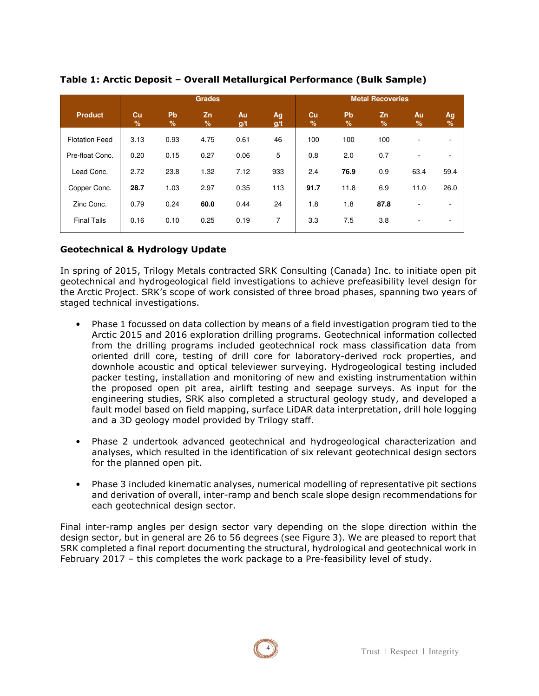|                       | <b>Grades</b>       |                     |         |           |           | <b>Metal Recoveries</b> |            |                     |         |                     |
|-----------------------|---------------------|---------------------|---------|-----------|-----------|-------------------------|------------|---------------------|---------|---------------------|
| <b>Product</b>        | Cu<br>$\frac{9}{6}$ | Pb<br>$\frac{9}{6}$ | Zn<br>% | Au<br>g/t | Ag<br>g/t | Cu<br>%                 | Pb<br>$\%$ | Zn<br>$\frac{9}{6}$ | Au<br>% | Ag<br>$\frac{9}{6}$ |
| <b>Flotation Feed</b> | 3.13                | 0.93                | 4.75    | 0.61      | 46        | 100                     | 100        | 100                 | ٠       |                     |
| Pre-float Conc.       | 0.20                | 0.15                | 0.27    | 0.06      | 5         | 0.8                     | 2.0        | 0.7                 | ۰       |                     |
| Lead Conc.            | 2.72                | 23.8                | 1.32    | 7.12      | 933       | 2.4                     | 76.9       | 0.9                 | 63.4    | 59.4                |
| Copper Conc.          | 28.7                | 1.03                | 2.97    | 0.35      | 113       | 91.7                    | 11.8       | 6.9                 | 11.0    | 26.0                |
| Zinc Conc.            | 0.79                | 0.24                | 60.0    | 0.44      | 24        | 1.8                     | 1.8        | 87.8                | ٠       |                     |
| <b>Final Tails</b>    | 0.16                | 0.10                | 0.25    | 0.19      | 7         | 3.3                     | 7.5        | 3.8                 |         |                     |

## **Table 1: Arctic Deposit – Overall Metallurgical Performance (Bulk Sample)**

## **Geotechnical & Hydrology Update**

In spring of 2015, Trilogy Metals contracted SRK Consulting (Canada) Inc. to initiate open pit geotechnical and hydrogeological field investigations to achieve prefeasibility level design for the Arctic Project. SRK's scope of work consisted of three broad phases, spanning two years of staged technical investigations.

- Phase 1 focussed on data collection by means of a field investigation program tied to the Arctic 2015 and 2016 exploration drilling programs. Geotechnical information collected from the drilling programs included geotechnical rock mass classification data from oriented drill core, testing of drill core for laboratory-derived rock properties, and downhole acoustic and optical televiewer surveying. Hydrogeological testing included packer testing, installation and monitoring of new and existing instrumentation within the proposed open pit area, airlift testing and seepage surveys. As input for the engineering studies, SRK also completed a structural geology study, and developed a fault model based on field mapping, surface LiDAR data interpretation, drill hole logging and a 3D geology model provided by Trilogy staff.
- Phase 2 undertook advanced geotechnical and hydrogeological characterization and analyses, which resulted in the identification of six relevant geotechnical design sectors for the planned open pit.
- Phase 3 included kinematic analyses, numerical modelling of representative pit sections and derivation of overall, inter-ramp and bench scale slope design recommendations for each geotechnical design sector.

Final inter-ramp angles per design sector vary depending on the slope direction within the design sector, but in general are 26 to 56 degrees (see Figure 3). We are pleased to report that SRK completed a final report documenting the structural, hydrological and geotechnical work in February 2017 – this completes the work package to a Pre-feasibility level of study.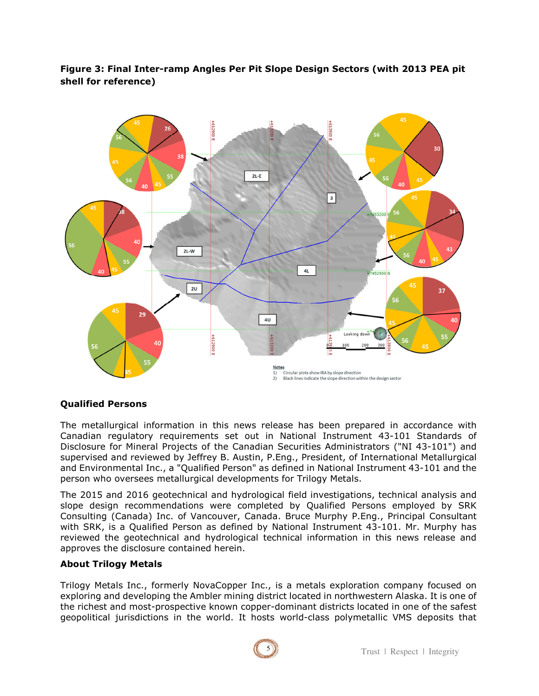**Figure 3: Final Inter-ramp Angles Per Pit Slope Design Sectors (with 2013 PEA pit shell for reference)**



## **Qualified Persons**

The metallurgical information in this news release has been prepared in accordance with Canadian regulatory requirements set out in National Instrument 43-101 Standards of Disclosure for Mineral Projects of the Canadian Securities Administrators ("NI 43-101") and supervised and reviewed by Jeffrey B. Austin, P.Eng., President, of International Metallurgical and Environmental Inc., a "Qualified Person" as defined in National Instrument 43-101 and the person who oversees metallurgical developments for Trilogy Metals.

The 2015 and 2016 geotechnical and hydrological field investigations, technical analysis and slope design recommendations were completed by Qualified Persons employed by SRK Consulting (Canada) Inc. of Vancouver, Canada. Bruce Murphy P.Eng., Principal Consultant with SRK, is a Qualified Person as defined by National Instrument 43-101. Mr. Murphy has reviewed the geotechnical and hydrological technical information in this news release and approves the disclosure contained herein.

## **About Trilogy Metals**

Trilogy Metals Inc., formerly NovaCopper Inc., is a metals exploration company focused on exploring and developing the Ambler mining district located in northwestern Alaska. It is one of the richest and most-prospective known copper-dominant districts located in one of the safest geopolitical jurisdictions in the world. It hosts world-class polymetallic VMS deposits that

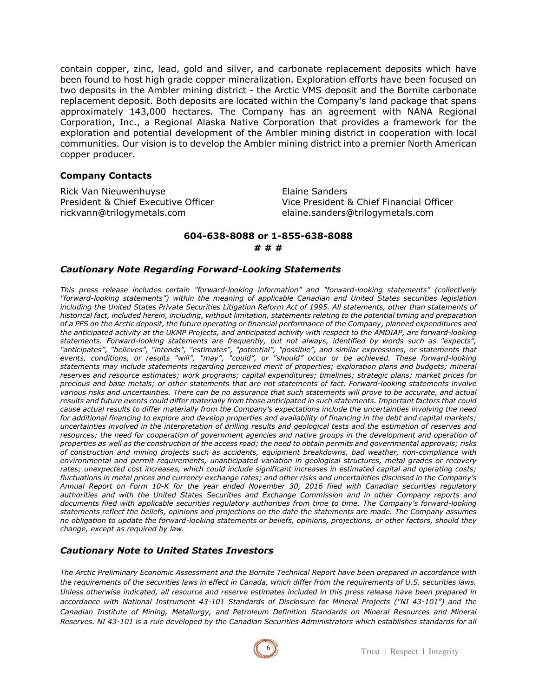contain copper, zinc, lead, gold and silver, and carbonate replacement deposits which have been found to host high grade copper mineralization. Exploration efforts have been focused on two deposits in the Ambler mining district - the Arctic VMS deposit and the Bornite carbonate replacement deposit. Both deposits are located within the Company's land package that spans approximately 143,000 hectares. The Company has an agreement with NANA Regional Corporation, Inc., a Regional Alaska Native Corporation that provides a framework for the exploration and potential development of the Ambler mining district in cooperation with local communities. Our vision is to develop the Ambler mining district into a premier North American copper producer.

#### **Company Contacts**

Rick Van Nieuwenhuyse **Elaine Sanders** rickvann@trilogymetals.com elaine.sanders@trilogymetals.com

President & Chief Executive Officer Vice President & Chief Financial Officer

## **604-638-8088 or 1-855-638-8088**

**# # #** 

#### *Cautionary Note Regarding Forward-Looking Statements*

*This press release includes certain "forward-looking information" and "forward-looking statements" (collectively "forward-looking statements") within the meaning of applicable Canadian and United States securities legislation including the United States Private Securities Litigation Reform Act of 1995. All statements, other than statements of historical fact, included herein, including, without limitation, statements relating to the potential timing and preparation of a PFS on the Arctic deposit, the future operating or financial performance of the Company, planned expenditures and the anticipated activity at the UKMP Projects, and anticipated activity with respect to the AMDIAP, are forward-looking statements. Forward-looking statements are frequently, but not always, identified by words such as "expects", "anticipates", "believes", "intends", "estimates", "potential", "possible", and similar expressions, or statements that events, conditions, or results "will", "may", "could", or "should" occur or be achieved. These forward-looking statements may include statements regarding perceived merit of properties; exploration plans and budgets; mineral reserves and resource estimates; work programs; capital expenditures; timelines; strategic plans; market prices for precious and base metals; or other statements that are not statements of fact. Forward-looking statements involve various risks and uncertainties. There can be no assurance that such statements will prove to be accurate, and actual results and future events could differ materially from those anticipated in such statements. Important factors that could cause actual results to differ materially from the Company's expectations include the uncertainties involving the need for additional financing to explore and develop properties and availability of financing in the debt and capital markets; uncertainties involved in the interpretation of drilling results and geological tests and the estimation of reserves and*  resources; the need for cooperation of government agencies and native groups in the development and operation of *properties as well as the construction of the access road; the need to obtain permits and governmental approvals; risks of construction and mining projects such as accidents, equipment breakdowns, bad weather, non-compliance with environmental and permit requirements, unanticipated variation in geological structures, metal grades or recovery rates; unexpected cost increases, which could include significant increases in estimated capital and operating costs; fluctuations in metal prices and currency exchange rates; and other risks and uncertainties disclosed in the Company's Annual Report on Form 10-K for the year ended November 30, 2016 filed with Canadian securities regulatory authorities and with the United States Securities and Exchange Commission and in other Company reports and documents filed with applicable securities regulatory authorities from time to time. The Company's forward-looking statements reflect the beliefs, opinions and projections on the date the statements are made. The Company assumes no obligation to update the forward-looking statements or beliefs, opinions, projections, or other factors, should they change, except as required by law.*

## *Cautionary Note to United States Investors*

*The Arctic Preliminary Economic Assessment and the Bornite Technical Report have been prepared in accordance with the requirements of the securities laws in effect in Canada, which differ from the requirements of U.S. securities laws. Unless otherwise indicated, all resource and reserve estimates included in this press release have been prepared in accordance with National Instrument 43-101 Standards of Disclosure for Mineral Projects ("NI 43-101") and the Canadian Institute of Mining, Metallurgy, and Petroleum Definition Standards on Mineral Resources and Mineral Reserves. NI 43-101 is a rule developed by the Canadian Securities Administrators which establishes standards for all*